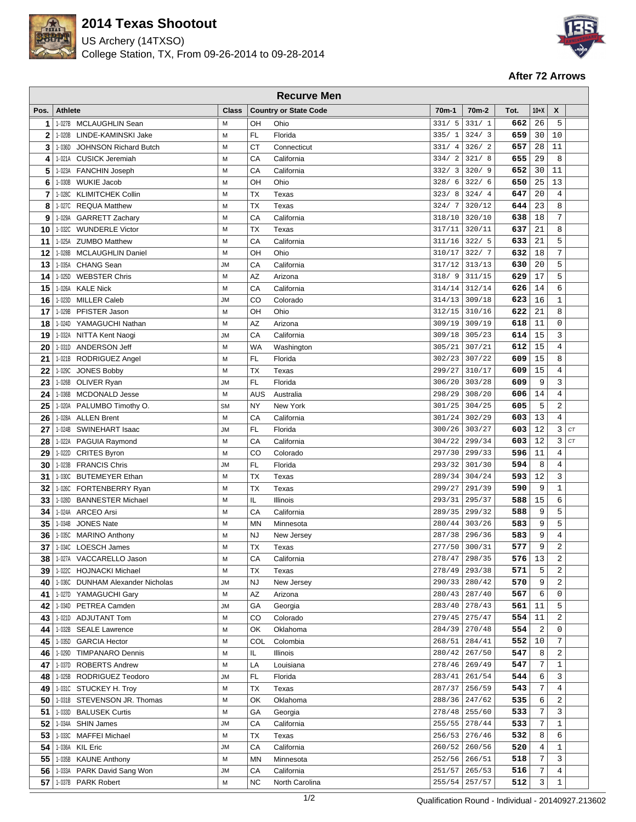

## **2014 Texas Shootout**

US Archery (14TXSO) College Station, TX, From 09-26-2014 to 09-28-2014



## **After 72 Arrows**

|                | <b>Recurve Men</b>                               |              |            |                              |                  |                    |            |                |                         |    |
|----------------|--------------------------------------------------|--------------|------------|------------------------------|------------------|--------------------|------------|----------------|-------------------------|----|
| Pos.           | <b>Athlete</b>                                   | <b>Class</b> |            | <b>Country or State Code</b> | $70m-1$          | 70 <sub>m</sub> -2 | Tot.       | $10+X$         | X                       |    |
| 1              | 1-027B MCLAUGHLIN Sean                           | M            | OH         | Ohio                         | 331/5            | 331/1              | 662        | 26             | 5                       |    |
| $\overline{2}$ | 1-020B LINDE-KAMINSKI Jake                       | M            | FL         | Florida                      | 335/1            | 324/3              | 659        | 30             | 10                      |    |
| 3              | 1-036D<br><b>JOHNSON Richard Butch</b>           | M            | CT         | Connecticut                  | 331/4            | 326/2              | 657        | 28             | 11                      |    |
| 4              | 1-021A CUSICK Jeremiah                           | M            | CA         | California                   | 334/2            | 321/8              | 655        | 29             | 8                       |    |
| 5              | <b>FANCHIN Joseph</b><br>1-023A                  | M            | CA         | California                   | 332/3            | 320/9              | 652        | 30             | 11                      |    |
| 6              | <b>WUKIE Jacob</b><br>1-030B                     | M            | OH         | Ohio                         | 328/6            | 322/6              | 650        | 25             | 13                      |    |
| 7              | <b>KLIMITCHEK Collin</b><br>1-028C               | M            | TX         | Texas                        | 323/8            | 324/4              | 647        | 20             | 4                       |    |
| 8              | 1-027C<br><b>REQUA Matthew</b>                   | М            | TX         | Texas                        | 324/7            | 320/12             | 644        | 23             | 8                       |    |
| 9              | 1-029A<br><b>GARRETT Zachary</b>                 | M            | CA         | California                   | 318/10           | 320/10             | 638        | 18             | 7                       |    |
| 10             | 1-032C WUNDERLE Victor                           | M            | ТX         | Texas                        | 317/11           | 320/11             | 637        | 21             | 8                       |    |
| 11             | 1-025A ZUMBO Matthew                             | M            | CA         | California                   | 311/16           | 322/5              | 633        | 21             | 5                       |    |
| 12             | 1-028B MCLAUGHLIN Daniel                         | M            | OH         | Ohio                         | 310/17           | 322/7              | 632        | 18             | 7                       |    |
| 13             | 1-035A<br><b>CHANG Sean</b>                      | <b>JM</b>    | CA         | California                   | 317/12           | 313/13             | 630        | 20             | 5                       |    |
| 14             | <b>WEBSTER Chris</b><br>1-025D                   | M            | AZ         | Arizona                      | 318/9            | 311/15             | 629        | 17             | 5                       |    |
| 15             | <b>KALE Nick</b><br>1-026A                       | M            | CA         | California                   | 314/14           | 312/14             | 626        | 14             | 6                       |    |
| 16             | <b>MILLER Caleb</b><br>1-023D                    | <b>JM</b>    | CO         | Colorado                     | 314/13           | 309/18             | 623        | 16             | $\mathbf{1}$            |    |
| 17             | PFISTER Jason<br>1-029B                          | М            | OH         | Ohio                         | 312/15           | 310/16             | 622        | 21             | 8                       |    |
| 18             | 1-024D YAMAGUCHI Nathan                          | M            | AZ         | Arizona                      | 309/19           | 309/19             | 618        | 11             | $\mathbf 0$             |    |
| 19             | 1-032A NITTA Kent Naogi                          | <b>JM</b>    | CA         | California                   | 309/18           | 305/23             | 614        | 15             | 3                       |    |
| 20             | 1-031D ANDERSON Jeff                             | M            | <b>WA</b>  | Washington                   | 305/21           | 307/21             | 612        | 15             | $\overline{4}$          |    |
| 21             | 1-021B RODRIGUEZ Angel                           | M            | FL         | Florida                      | 302/23           | 307/22             | 609        | 15             | 8                       |    |
| 22             | 1-029C<br><b>JONES Bobby</b>                     | M            | TX         | Texas                        | 299/27           | 310/17             | 609        | 15             | 4                       |    |
| 23             | 1-026B<br>OLIVER Ryan                            | <b>JM</b>    | <b>FL</b>  | Florida                      | 306/20           | 303/28             | 609        | 9              | 3                       |    |
| 24             | 1-036B<br><b>MCDONALD Jesse</b>                  | M            | <b>AUS</b> | Australia                    | 298/29           | 308/20             | 606        | 14             | $\overline{4}$          |    |
| 25             | 1-020A<br>PALUMBO Timothy O.                     | <b>SM</b>    | <b>NY</b>  | New York                     | 301/25           | 304/25             | 605        | 5              | $\overline{2}$          |    |
| 26             | 1-028A<br><b>ALLEN Brent</b>                     | M            | CA         | California                   | 301/24           | 302/29             | 603        | 13             | 4                       |    |
| 27             | SWINEHART Isaac<br>1-024B                        | <b>JM</b>    | <b>FL</b>  | Florida                      | 300/26           | 303/27             | 603        | 12             | 3                       | CT |
| 28             | 1-022A PAGUIA Raymond                            | M            | CA         | California                   | 304/22           | 299/34             | 603        | 12             | 3                       | CT |
| 29             | 1-022D CRITES Byron                              | M            | CO         | Colorado                     | 297/30           | 299/33             | 596        | 11             | $\overline{4}$          |    |
| 30             | 1-023B FRANCIS Chris                             | <b>JM</b>    | FL         | Florida                      | 293/32           | 301/30             | 594        | 8              | $\overline{4}$          |    |
| 31             | 1-030C<br><b>BUTEMEYER Ethan</b>                 | M            | TX         | Texas                        | 289/34           | 304/24             | 593        | 12             | 3                       |    |
| 32             | 1-026C<br>FORTENBERRY Ryan                       | M            | TX         | Texas                        | 299/27           | 291/39             | 590        | 9              | $1\,$                   |    |
| 33             | 1-028D<br><b>BANNESTER Michael</b>               | М            | IL.        | Illinois                     | 293/31           | 295/37             | 588        | 15             | 6                       |    |
| 34             | 1-024A<br><b>ARCEO Arsi</b>                      | M            | CA         | California                   | 289/35           | 299/32             | 588        | 9              | 5                       |    |
| 35             | <b>JONES Nate</b><br>1-034B                      | M            | <b>MN</b>  | Minnesota                    | 280/44           | 303/26             | 583        | 9              | 5                       |    |
| 36             | 1-035C MARINO Anthony                            | M            | <b>NJ</b>  | New Jersey                   | 287/38           | 296/36             | 583        | 9              | 4                       |    |
| 37             | 1-034C LOESCH James                              | M            | ТX         | Texas                        | 277/50           | 300/31             | 577        | 9              | $\overline{2}$          |    |
| 38             | 1-027A VACCARELLO Jason                          | М            | CA         | California                   | 278/47           | 298/35             | 576        | 13             | $\sqrt{2}$              |    |
| 39             | 1-022C HOJNACKI Michael                          | M            | ТX         | Texas                        | 278/49           | 293/38             | 571        | 5<br>9         | $\overline{2}$          |    |
| 40             | 1-036C<br><b>DUNHAM Alexander Nicholas</b>       | <b>JM</b>    | <b>NJ</b>  | New Jersey                   | 290/33<br>280/43 | 280/42<br>287/40   | 570<br>567 | 6              | 2<br>$\mathbf 0$        |    |
| 41<br>42       | 1-027D YAMAGUCHI Gary<br>PETREA Camden<br>1-034D | M<br>JM      | AZ<br>GA   | Arizona                      | 283/40           | 278/43             | 561        | 11             | 5                       |    |
| 43             | 1-021D ADJUTANT Tom                              | M            | CO         | Georgia<br>Colorado          | 279/45           | 275/47             | 554        | 11             | $\overline{a}$          |    |
| 44             | 1-032B SEALE Lawrence                            | M            | OK         | Oklahoma                     | 284/39           | 270/48             | 554        | 2              | 0                       |    |
| 45             | <b>GARCIA Hector</b><br>1-035D                   | M            | <b>COL</b> | Colombia                     | 268/51           | 284/41             | 552        | 10             | 7                       |    |
| 46             | 1-029D TIMPANARO Dennis                          | M            | IL.        | Illinois                     | 280/42           | 267/50             | 547        | 8              | $\overline{\mathbf{c}}$ |    |
| 47             | 1-037D ROBERTS Andrew                            | М            | LA         | Louisiana                    | 278/46           | 269/49             | 547        | 7              | $1\,$                   |    |
| 48             | 1-025B RODRIGUEZ Teodoro                         | JM           | FL         | Florida                      | 283/41           | 261/54             | 544        | 6              | 3                       |    |
| 49             | 1-031C STUCKEY H. Troy                           | M            | ТX         | Texas                        | 287/37           | 256/59             | 543        | 7              | $\overline{4}$          |    |
| 50             | 1-031B STEVENSON JR. Thomas                      | M            | OK         | Oklahoma                     | 288/36           | 247/62             | 535        | 6              | $\overline{2}$          |    |
| 51             | 1-033D<br><b>BALUSEK Curtis</b>                  | М            | GA         | Georgia                      | 278/48           | 255/60             | 533        | $\overline{7}$ | 3                       |    |
| 52             | 1-034A SHIN James                                | <b>JM</b>    | CA         | California                   | 255/55           | 278/44             | 533        | $\overline{7}$ | $1\,$                   |    |
| 53             | <b>MAFFEI Michael</b><br>1-033C                  | M            | ТX         | Texas                        | 256/53           | 276/46             | 532        | 8              | 6                       |    |
| 54             | <b>KIL Eric</b><br>1-036A                        | JM           | CA         | California                   | 260/52           | 260/56             | 520        | $\overline{4}$ | 1                       |    |
| 55             | 1-035B KAUNE Anthony                             | M            | MN         | Minnesota                    | 252/56           | 266/51             | 518        | 7              | 3                       |    |
| 56             | 1-033A PARK David Sang Won                       | JM           | CA         | California                   | 251/57           | 265/53             | 516        | 7              | 4                       |    |
| 57             | 1-037B PARK Robert                               | M            | <b>NC</b>  | North Carolina               | 255/54           | 257/57             | 512        | 3              | $1\,$                   |    |
|                |                                                  |              |            |                              |                  |                    |            |                |                         |    |